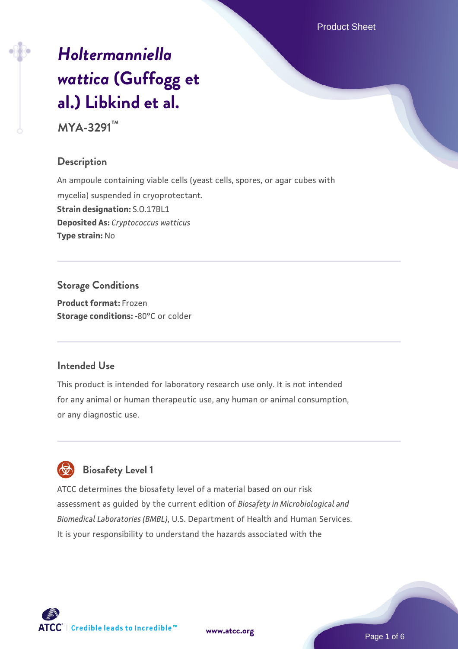Product Sheet

# *[Holtermanniella](https://www.atcc.org/products/mya-3291) [wattica](https://www.atcc.org/products/mya-3291)* **[\(Guffogg et](https://www.atcc.org/products/mya-3291) [al.\) Libkind et al.](https://www.atcc.org/products/mya-3291)**

**MYA-3291™**

## **Description**

An ampoule containing viable cells (yeast cells, spores, or agar cubes with mycelia) suspended in cryoprotectant. **Strain designation:** S.O.17BL1 **Deposited As:** *Cryptococcus watticus* **Type strain:** No

**Storage Conditions Product format:** Frozen **Storage conditions: -80°C or colder** 

#### **Intended Use**

This product is intended for laboratory research use only. It is not intended for any animal or human therapeutic use, any human or animal consumption, or any diagnostic use.



## **Biosafety Level 1**

ATCC determines the biosafety level of a material based on our risk assessment as guided by the current edition of *Biosafety in Microbiological and Biomedical Laboratories (BMBL)*, U.S. Department of Health and Human Services. It is your responsibility to understand the hazards associated with the

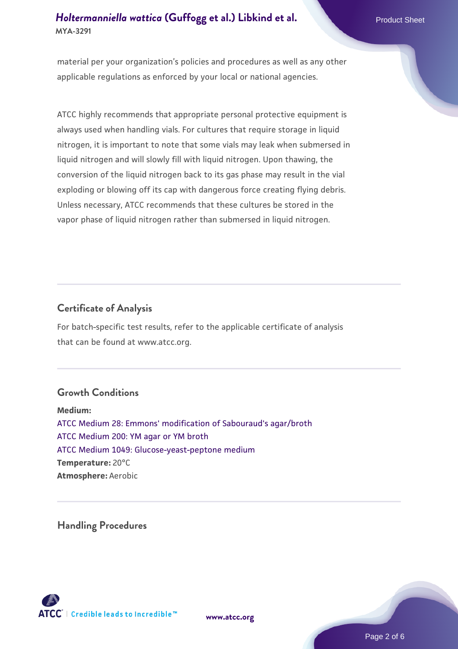## **[Holtermanniella wattica](https://www.atcc.org/products/mya-3291) [\(Guffogg et al.\) Libkind et al.](https://www.atcc.org/products/mya-3291)** Product Sheet **MYA-3291**

material per your organization's policies and procedures as well as any other applicable regulations as enforced by your local or national agencies.

ATCC highly recommends that appropriate personal protective equipment is always used when handling vials. For cultures that require storage in liquid nitrogen, it is important to note that some vials may leak when submersed in liquid nitrogen and will slowly fill with liquid nitrogen. Upon thawing, the conversion of the liquid nitrogen back to its gas phase may result in the vial exploding or blowing off its cap with dangerous force creating flying debris. Unless necessary, ATCC recommends that these cultures be stored in the vapor phase of liquid nitrogen rather than submersed in liquid nitrogen.

## **Certificate of Analysis**

For batch-specific test results, refer to the applicable certificate of analysis that can be found at www.atcc.org.

## **Growth Conditions**

**Medium:**  [ATCC Medium 28: Emmons' modification of Sabouraud's agar/broth](https://www.atcc.org/-/media/product-assets/documents/microbial-media-formulations/2/8/atcc-medium-28.pdf?rev=0da0c58cc2a343eeae735016b70809bb) [ATCC Medium 200: YM agar or YM broth](https://www.atcc.org/-/media/product-assets/documents/microbial-media-formulations/2/0/0/atcc-medium-200.pdf?rev=ac40fd74dc13433a809367b0b9da30fc) [ATCC Medium 1049: Glucose-yeast-peptone medium](https://www.atcc.org/-/media/product-assets/documents/microbial-media-formulations/atcc-medium-1049.pdf?rev=782888acdc004ecfa9dcc3e757b0b85a) **Temperature:** 20°C **Atmosphere:** Aerobic

**Handling Procedures**



**[www.atcc.org](http://www.atcc.org)**

Page 2 of 6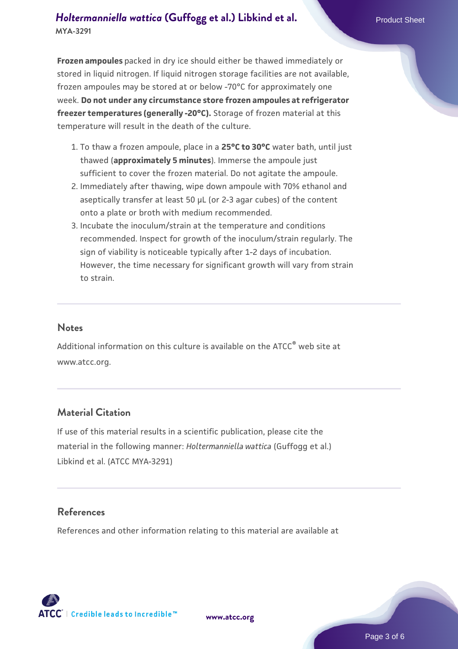## **[Holtermanniella wattica](https://www.atcc.org/products/mya-3291) [\(Guffogg et al.\) Libkind et al.](https://www.atcc.org/products/mya-3291)** Product Sheet **MYA-3291**

**Frozen ampoules** packed in dry ice should either be thawed immediately or stored in liquid nitrogen. If liquid nitrogen storage facilities are not available, frozen ampoules may be stored at or below -70°C for approximately one week. **Do not under any circumstance store frozen ampoules at refrigerator freezer temperatures (generally -20°C).** Storage of frozen material at this temperature will result in the death of the culture.

- 1. To thaw a frozen ampoule, place in a **25°C to 30°C** water bath, until just thawed (**approximately 5 minutes**). Immerse the ampoule just sufficient to cover the frozen material. Do not agitate the ampoule.
- 2. Immediately after thawing, wipe down ampoule with 70% ethanol and aseptically transfer at least 50 µL (or 2-3 agar cubes) of the content onto a plate or broth with medium recommended.
- Incubate the inoculum/strain at the temperature and conditions 3. recommended. Inspect for growth of the inoculum/strain regularly. The sign of viability is noticeable typically after 1-2 days of incubation. However, the time necessary for significant growth will vary from strain to strain.

#### **Notes**

Additional information on this culture is available on the ATCC<sup>®</sup> web site at www.atcc.org.

## **Material Citation**

If use of this material results in a scientific publication, please cite the material in the following manner: *Holtermanniella wattica* (Guffogg et al.) Libkind et al. (ATCC MYA-3291)

## **References**

References and other information relating to this material are available at

**[www.atcc.org](http://www.atcc.org)**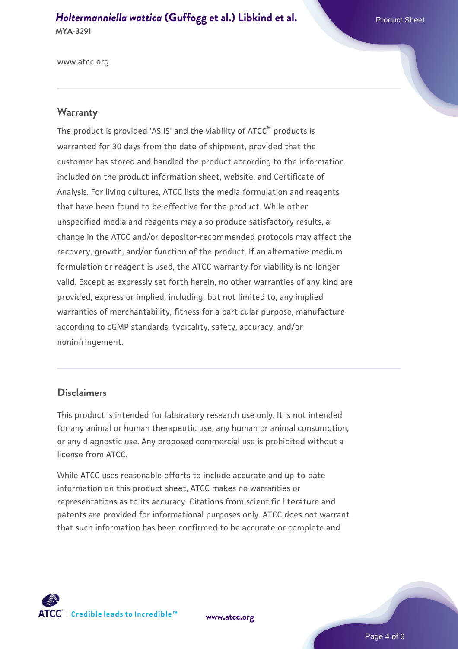#### *[Holtermanniella wattica](https://www.atcc.org/products/mya-3291)* [\(Guffogg et al.\) Libkind et al.](https://www.atcc.org/products/mya-3291) **MYA-3291**

www.atcc.org.

#### **Warranty**

The product is provided 'AS IS' and the viability of ATCC® products is warranted for 30 days from the date of shipment, provided that the customer has stored and handled the product according to the information included on the product information sheet, website, and Certificate of Analysis. For living cultures, ATCC lists the media formulation and reagents that have been found to be effective for the product. While other unspecified media and reagents may also produce satisfactory results, a change in the ATCC and/or depositor-recommended protocols may affect the recovery, growth, and/or function of the product. If an alternative medium formulation or reagent is used, the ATCC warranty for viability is no longer valid. Except as expressly set forth herein, no other warranties of any kind are provided, express or implied, including, but not limited to, any implied warranties of merchantability, fitness for a particular purpose, manufacture according to cGMP standards, typicality, safety, accuracy, and/or noninfringement.

#### **Disclaimers**

This product is intended for laboratory research use only. It is not intended for any animal or human therapeutic use, any human or animal consumption, or any diagnostic use. Any proposed commercial use is prohibited without a license from ATCC.

While ATCC uses reasonable efforts to include accurate and up-to-date information on this product sheet, ATCC makes no warranties or representations as to its accuracy. Citations from scientific literature and patents are provided for informational purposes only. ATCC does not warrant that such information has been confirmed to be accurate or complete and



**[www.atcc.org](http://www.atcc.org)**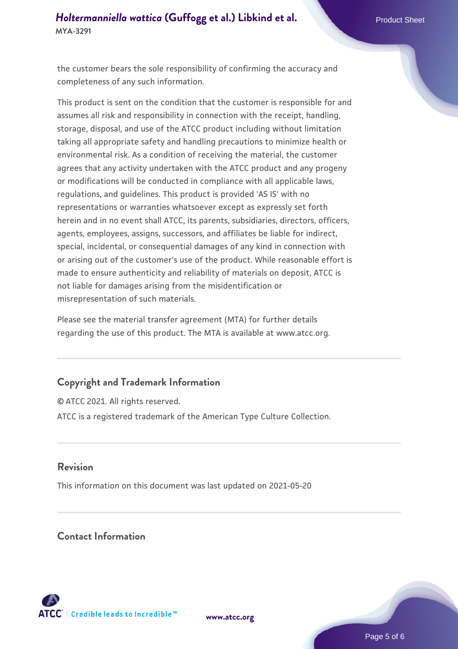## *[Holtermanniella wattica](https://www.atcc.org/products/mya-3291)* [\(Guffogg et al.\) Libkind et al.](https://www.atcc.org/products/mya-3291) **MYA-3291**

the customer bears the sole responsibility of confirming the accuracy and completeness of any such information.

This product is sent on the condition that the customer is responsible for and assumes all risk and responsibility in connection with the receipt, handling, storage, disposal, and use of the ATCC product including without limitation taking all appropriate safety and handling precautions to minimize health or environmental risk. As a condition of receiving the material, the customer agrees that any activity undertaken with the ATCC product and any progeny or modifications will be conducted in compliance with all applicable laws, regulations, and guidelines. This product is provided 'AS IS' with no representations or warranties whatsoever except as expressly set forth herein and in no event shall ATCC, its parents, subsidiaries, directors, officers, agents, employees, assigns, successors, and affiliates be liable for indirect, special, incidental, or consequential damages of any kind in connection with or arising out of the customer's use of the product. While reasonable effort is made to ensure authenticity and reliability of materials on deposit, ATCC is not liable for damages arising from the misidentification or misrepresentation of such materials.

Please see the material transfer agreement (MTA) for further details regarding the use of this product. The MTA is available at www.atcc.org.

## **Copyright and Trademark Information**

© ATCC 2021. All rights reserved. ATCC is a registered trademark of the American Type Culture Collection.

#### **Revision**

This information on this document was last updated on 2021-05-20

**Contact Information**



**[www.atcc.org](http://www.atcc.org)**

Page 5 of 6